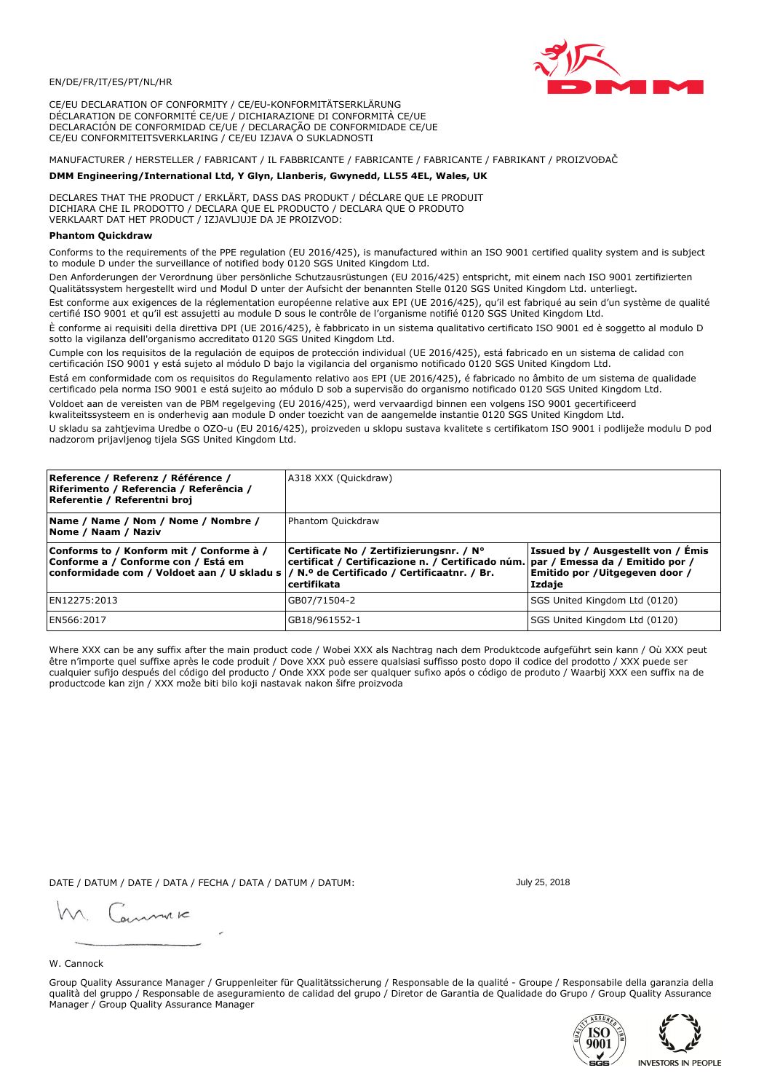

CE/EU DECLARATION OF CONFORMITY / CE/EU-KONFORMITÄTSERKLÄRUNG DÉCLARATION DE CONFORMITÉ CE/UE / DICHIARAZIONE DI CONFORMITÀ CE/UE DECLARACIÓN DE CONFORMIDAD CE/UE / DECLARAÇÃO DE CONFORMIDADE CE/UE CE/EU CONFORMITEITSVERKLARING / CE/EU IZJAVA O SUKLADNOSTI

MANUFACTURER / HERSTELLER / FABRICANT / IL FABBRICANTE / FABRICANTE / FABRICANTE / FABRIKANT / PROIZVOĐAČ

# DMM Engineering/International Ltd, Y Glyn, Llanberis, Gwynedd, LL55 4EL, Wales, UK

DECLARES THAT THE PRODUCT / ERKLÄRT, DASS DAS PRODUKT / DÉCLARE QUE LE PRODUIT<br>DICHIARA CHE IL PRODOTTO / DECLARA QUE EL PRODUCTO / DECLARA QUE O PRODUTO VERKLAART DAT HET PRODUCT / IZJAVLJUJE DA JE PROIZVOD:

## **Phantom Ouickdraw**

Conforms to the requirements of the PPE regulation (EU 2016/425), is manufactured within an ISO 9001 certified quality system and is subject to module D under the surveillance of notified body 0120 SGS United Kingdom Ltd.

Den Anforderungen der Verordnung über persönliche Schutzausrüstungen (EU 2016/425) entspricht, mit einem nach ISO 9001 zertifizierten Qualitätssystem hergestellt wird und Modul D unter der Aufsicht der benannten Stelle 0120 SGS United Kingdom Ltd. unterliegt.

Est conforme aux exigences de la réglementation européenne relative aux EPI (UE 2016/425), qu'il est fabriqué au sein d'un système de qualité certifié ISO 9001 et qu'il est assujetti au module D sous le contrôle de l'organisme notifié 0120 SGS United Kingdom Ltd.

È conforme ai requisiti della direttiva DPI (UE 2016/425), è fabbricato in un sistema qualitativo certificato ISO 9001 ed è soggetto al modulo D sotto la vigilanza dell'organismo accreditato 0120 SGS United Kingdom Ltd.

Cumple con los requisitos de la regulación de equipos de protección individual (UE 2016/425), está fabricado en un sistema de calidad con certificación ISO 9001 y está sujeto al módulo D bajo la vigilancia del organismo notificado 0120 SGS United Kingdom Ltd.

Está em conformidade com os requisitos do Regulamento relativo aos EPI (UE 2016/425), é fabricado no âmbito de um sistema de qualidade certificado pela norma ISO 9001 e está sujeito ao módulo D sob a supervisão do organismo notificado 0120 SGS United Kingdom Ltd. Voldoet aan de vereisten van de PBM regelgeving (EU 2016/425), werd vervaardigd binnen een volgens ISO 9001 gecertificeerd

kwaliteitssysteem en is onderhevig aan module D onder toezicht van de aangemelde instantie 0120 SGS United Kingdom Ltd.

U skladu sa zahtjevima Uredbe o OZO-u (EU 2016/425), proizveden u sklopu sustava kvalitete s certifikatom ISO 9001 i podliježe modulu D pod nadzorom prijavljenog tijela SGS United Kingdom Ltd.

| Reference / Referenz / Référence /<br>Riferimento / Referencia / Referência /<br>Referentie / Referentni broj                                                              | A318 XXX (Quickdraw)                                                                                                                         |                                                                                 |  |
|----------------------------------------------------------------------------------------------------------------------------------------------------------------------------|----------------------------------------------------------------------------------------------------------------------------------------------|---------------------------------------------------------------------------------|--|
| Name / Name / Nom / Nome / Nombre /<br>Nome / Naam / Naziv                                                                                                                 | Phantom Quickdraw                                                                                                                            |                                                                                 |  |
| Conforms to / Konform mit / Conforme à /<br>Conforme a / Conforme con / Está em<br>conformidade com / Voldoet aan / U skladu s / N.º de Certificado / Certificaatnr. / Br. | Certificate No / Zertifizierungsnr. / N°<br>certificat / Certificazione n. / Certificado núm. par / Emessa da / Emitido por /<br>certifikata | Issued by / Ausgestellt von / Émis<br>Emitido por / Uitgegeven door /<br>Izdaje |  |
| EN12275:2013                                                                                                                                                               | GB07/71504-2                                                                                                                                 | SGS United Kingdom Ltd (0120)                                                   |  |
| EN566:2017                                                                                                                                                                 | GB18/961552-1                                                                                                                                | SGS United Kingdom Ltd (0120)                                                   |  |

Where XXX can be any suffix after the main product code / Wobei XXX als Nachtrag nach dem Produktcode aufgeführt sein kann / Où XXX peut être n'importe quel suffixe après le code produit / Dove XXX può essere qualsiasi suffisso posto dopo il codice del prodotto / XXX puede ser cualquier sufijo después del código del producto / Onde XXX pode ser qualquer sufixo após o código de produto / Waarbij XXX een suffix na de productcode kan zijn / XXX može biti bilo koji nastavak nakon šifre proizvoda

DATE / DATUM / DATE / DATA / FECHA / DATA / DATUM / DATUM:

gimmic

July 25, 2018

#### W. Cannock

Group Quality Assurance Manager / Gruppenleiter für Qualitätssicherung / Responsable de la qualité - Groupe / Responsabile della garanzia della qualità del gruppo / Responsable de aseguramiento de calidad del grupo / Diretor de Garantia de Qualidade do Grupo / Group Quality Assurance Manager / Group Quality Assurance Manager



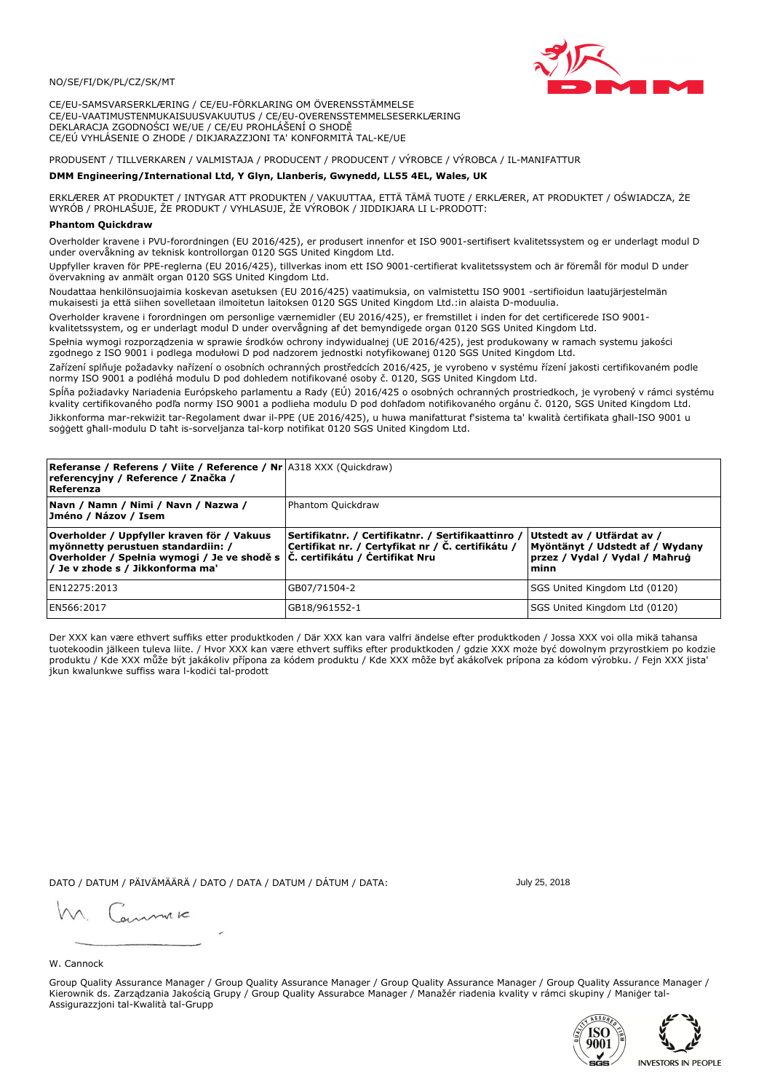### NO/SE/FI/DK/PL/CZ/SK/MT

CE/EU-SAMSVARSERKLÆRING / CE/EU-FÖRKLARING OM ÖVERENSSTÄMMELSE CE/EU-VAATIMUSTENMUKAISUUSVAKUUTUS / CE/EU-OVERENSSTEMMELSESERKLÆRING DEKLARACJA ZGODNOŚCI WE/UE / CE/EU PROHLÁŠENÍ O SHODĚ CE/EÚ VYHLÁSENIE O ZHODE / DIKJARAZZJONI TA' KONFORMITÀ TAL-KE/UE

PRODUSENT / TILLVERKAREN / VALMISTAJA / PRODUCENT / PRODUCENT / VÝROBCE / VÝROBCA / IL-MANIFATTUR

#### DMM Engineering/International Ltd, Y Glyn, Llanberis, Gwynedd, LL55 4EL, Wales, UK

ERKLÆRER AT PRODUKTET / INTYGAR ATT PRODUKTEN / VAKUUTTAA, ETTÄ TÄMÄ TUOTE / ERKLÆRER, AT PRODUKTET / OŚWIADCZA, ŻE<br>WYRÓB / PROHLAŠUJE, ŽE PRODUKT / VYHLASUJE, ŽE VÝROBOK / JIDDIKJARA LI L-PRODOTT:

Overholder kravene i PVU-forordningen (EU 2016/425), er produsert innenfor et ISO 9001-sertifisert kvalitetssystem og er underlagt modul D<br>under overvåkning av teknisk kontrollorgan 0120 SGS United Kingdom Ltd.

Uppfyller kraven för PPE-reglerna (EU 2016/425), tillverkas inom ett ISO 9001-certifierat kvalitetssystem och är föremål för modul D under övervakning av anmält organ 0120 SGS United Kingdom Ltd.

Noudattaa henkilönsuojaimia koskevan asetuksen (EU 2016/425) vaatimuksia, on valmistettu ISO 9001 -sertifioidun laatujärjestelmän mukaisesti ja että siihen sovelletaan ilmoitetun laitoksen 0120 SGS United Kingdom Ltd.:in alaista D-moduulia.

Overholder kravene i forordningen om personlige værnemidler (EU 2016/425), er fremstillet i inden for det certificerede ISO 9001kvalitetssystem, og er underlagt modul D under overvågning af det bemyndigede organ 0120 SGS United Kingdom Ltd.

Spełnia wymogi rozporządzenia w sprawie środków ochrony indywidualnej (UE 2016/425), jest produkowany w ramach systemu jakości zgodnego z ISO 9001 i podlega modułowi D pod nadzorem jednostki notyfikowanej 0120 SGS United Kingdom Ltd.

Zařízení splňuje požadavky nařízení o osobních ochranných prostředcích 2016/425, je vyrobeno v systému řízení jakosti certifikovaném podle normy ISO 9001 a podléhá modulu D pod dohledem notifikované osoby č. 0120, SGS United Kingdom Ltd.

Spĺňa požiadavky Nariadenia Európskeho parlamentu a Rady (EÚ) 2016/425 o osobných ochranných prostriedkoch, je vyrobený v rámci systému kvality certifikovaného podľa normy ISO 9001 a podlieha modulu D pod dohľadom notifikovaného orgánu č. 0120, SGS Únited Kingdom Ltd. Jikkonforma mar-rekwiżit tar-Regolament dwar il-PPE (UE 2016/425), u huwa manifatturat f'sistema ta' kwalità certifikata għall-ISO 9001 u soggett ghall-modulu D taht is-sorveljanza tal-korp notifikat 0120 SGS United Kingdom Ltd.

| <b>Referanse / Referens / Viite / Reference / Nr</b> A318 XXX (Quickdraw)<br>referencyjny / Reference / Značka /<br>Referenza                                                                                     |                                                                                                         |                                                                                                         |
|-------------------------------------------------------------------------------------------------------------------------------------------------------------------------------------------------------------------|---------------------------------------------------------------------------------------------------------|---------------------------------------------------------------------------------------------------------|
| Navn / Namn / Nimi / Navn / Nazwa /<br>Jméno / Názov / Isem                                                                                                                                                       | Phantom Quickdraw                                                                                       |                                                                                                         |
| Overholder / Uppfyller kraven för / Vakuus<br>myönnetty perustuen standardiin: /<br> Overholder / Spełnia wymogi / Je ve shodě s $ \tilde{C} $ . certifikátu / Čertifikat Nru<br>/ Je v zhode s / Jikkonforma ma' | Sertifikatnr. / Certifikatnr. / Sertifikaattinro /<br>Certifikat nr. / Certyfikat nr / Č. certifikátu / | Utstedt av / Utfärdat av /<br>Myöntänyt / Udstedt af / Wydany<br>przez / Vydal / Vydal / Mahrug<br>minn |
| EN12275:2013                                                                                                                                                                                                      | GB07/71504-2                                                                                            | SGS United Kingdom Ltd (0120)                                                                           |
| EN566:2017                                                                                                                                                                                                        | GB18/961552-1                                                                                           | SGS United Kingdom Ltd (0120)                                                                           |

Der XXX kan være ethvert suffiks etter produktkoden / Där XXX kan vara valfri ändelse efter produktkoden / Jossa XXX voi olla mikä tahansa tuotekoodin jälkeen tuleva liite. / Hvor XXX kan være ethvert suffiks efter produktkoden / gdzie XXX može być dowolnym przyrostkiem po kodzie<br>produktu / Kde XXX může být jakákoliv přípona za kódem produktu / Kde XXX môže b jkun kwalunkwe suffiss wara l-kodići tal-prodott

DATO / DATUM / PÄIVÄMÄÄRÄ / DATO / DATA / DATUM / DÁTUM / DATA:

July 25, 2018

annuic

W. Cannock

Group Quality Assurance Manager / Group Quality Assurance Manager / Group Quality Assurance Manager / Group Quality Assurance Manager / Kierownik ds. Zarządzania Jakością Grupy / Group Quality Assurabce Manager / Manažér riadenia kvality v rámci skupiny / Maniger tal-Assigurazzjoni tal-Kwalità tal-Grupp